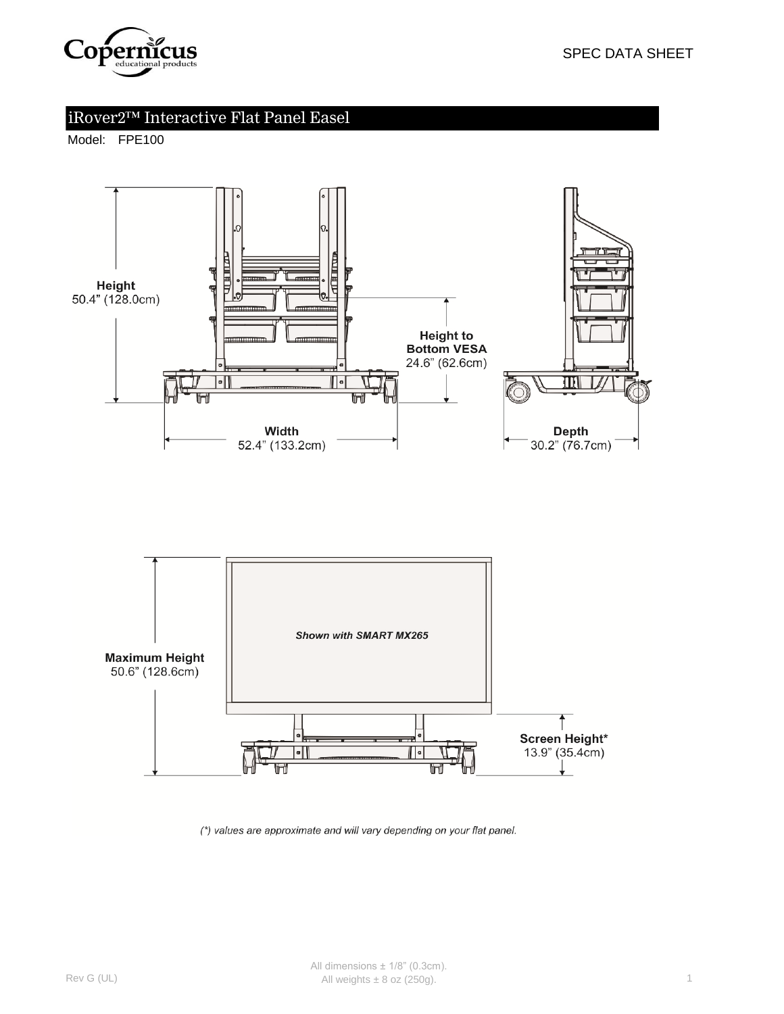

# iRover2™ Interactive Flat Panel Easel

Model: FPE100





(\*) values are approximate and will vary depending on your flat panel.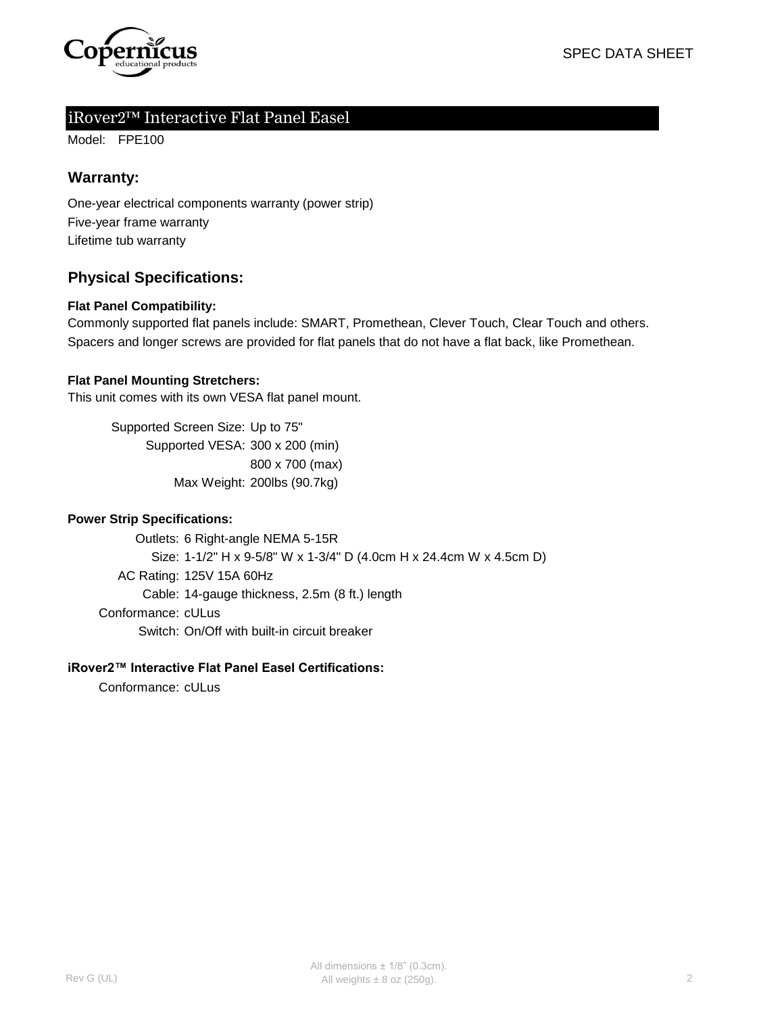

## iRover2™ Interactive Flat Panel Easel

Model: FPE100

### **Warranty:**

One-year electrical components warranty (power strip) Five-year frame warranty Lifetime tub warranty

## **Physical Specifications:**

#### **Flat Panel Compatibility:**

Spacers and longer screws are provided for flat panels that do not have a flat back, like Promethean. Commonly supported flat panels include: SMART, Promethean, Clever Touch, Clear Touch and others.

#### **Flat Panel Mounting Stretchers:**

This unit comes with its own VESA flat panel mount.

Supported Screen Size: Up to 75" Supported VESA: 300 x 200 (min) 800 x 700 (max) Max Weight: 200lbs (90.7kg)

#### **Power Strip Specifications:**

Outlets: 6 Right-angle NEMA 5-15R Size: 1-1/2" H x 9-5/8" W x 1-3/4" D (4.0cm H x 24.4cm W x 4.5cm D) AC Rating: 125V 15A 60Hz Cable: 14-gauge thickness, 2.5m (8 ft.) length Conformance: cULus Switch: On/Off with built-in circuit breaker

#### **iRover2™ Interactive Flat Panel Easel Certifications:**

Conformance: cULus